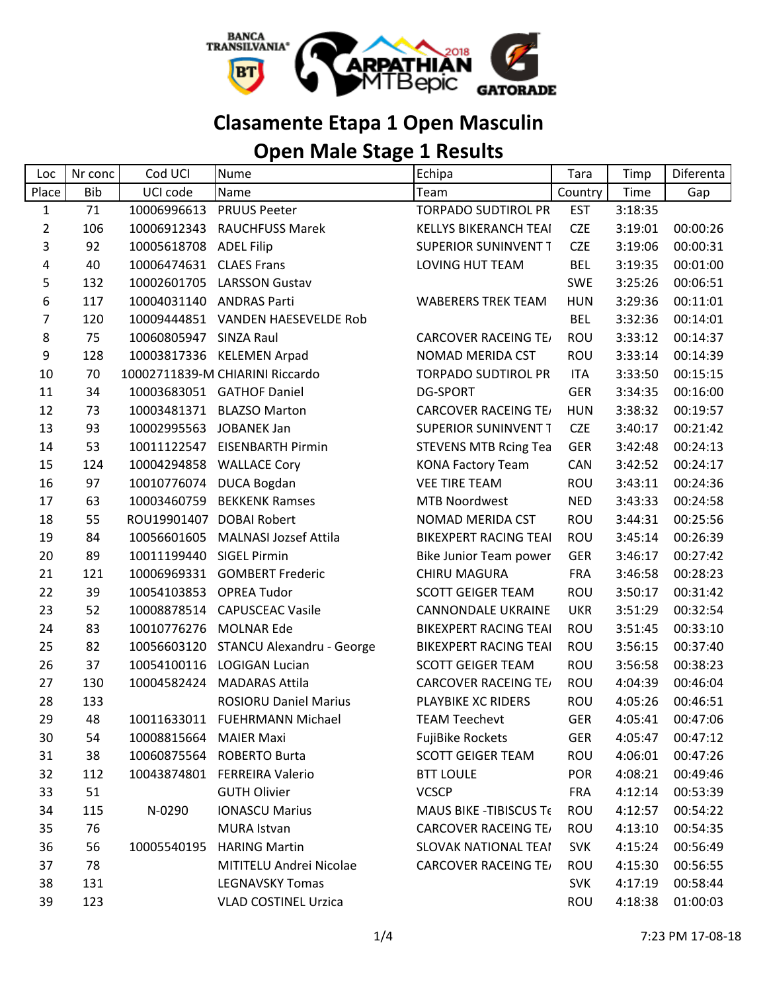

## **Clasamente Etapa 1 Open Masculin**

## **Open Male Stage 1 Results**

| Loc            | Nr conc    | Cod UCI                 | Nume                              | Echipa                         | Tara       | Timp    | Diferenta |
|----------------|------------|-------------------------|-----------------------------------|--------------------------------|------------|---------|-----------|
| Place          | <b>Bib</b> | UCI code                | Name                              | Team                           | Country    | Time    | Gap       |
| $\mathbf{1}$   | 71         | 10006996613             | <b>PRUUS Peeter</b>               | <b>TORPADO SUDTIROL PR</b>     | <b>EST</b> | 3:18:35 |           |
| $\overline{2}$ | 106        | 10006912343             | <b>RAUCHFUSS Marek</b>            | <b>KELLYS BIKERANCH TEAI</b>   | <b>CZE</b> | 3:19:01 | 00:00:26  |
| 3              | 92         | 10005618708             | <b>ADEL Filip</b>                 | <b>SUPERIOR SUNINVENT T</b>    | <b>CZE</b> | 3:19:06 | 00:00:31  |
| 4              | 40         | 10006474631             | <b>CLAES Frans</b>                | LOVING HUT TEAM                | <b>BEL</b> | 3:19:35 | 00:01:00  |
| 5              | 132        | 10002601705             | <b>LARSSON Gustav</b>             |                                | <b>SWE</b> | 3:25:26 | 00:06:51  |
| 6              | 117        | 10004031140             | <b>ANDRAS Parti</b>               | <b>WABERERS TREK TEAM</b>      | <b>HUN</b> | 3:29:36 | 00:11:01  |
| 7              | 120        |                         | 10009444851 VANDEN HAESEVELDE Rob |                                | <b>BEL</b> | 3:32:36 | 00:14:01  |
| 8              | 75         | 10060805947 SINZA Raul  |                                   | <b>CARCOVER RACEING TE/</b>    | <b>ROU</b> | 3:33:12 | 00:14:37  |
| 9              | 128        | 10003817336             | <b>KELEMEN Arpad</b>              | NOMAD MERIDA CST               | ROU        | 3:33:14 | 00:14:39  |
| 10             | 70         |                         | 10002711839-M CHIARINI Riccardo   | <b>TORPADO SUDTIROL PR</b>     | <b>ITA</b> | 3:33:50 | 00:15:15  |
| 11             | 34         |                         | 10003683051 GATHOF Daniel         | <b>DG-SPORT</b>                | <b>GER</b> | 3:34:35 | 00:16:00  |
| 12             | 73         | 10003481371             | <b>BLAZSO Marton</b>              | <b>CARCOVER RACEING TE/</b>    | <b>HUN</b> | 3:38:32 | 00:19:57  |
| 13             | 93         | 10002995563             | JOBANEK Jan                       | <b>SUPERIOR SUNINVENT T</b>    | <b>CZE</b> | 3:40:17 | 00:21:42  |
| 14             | 53         | 10011122547             | <b>EISENBARTH Pirmin</b>          | <b>STEVENS MTB Rcing Tea</b>   | <b>GER</b> | 3:42:48 | 00:24:13  |
| 15             | 124        | 10004294858             | <b>WALLACE Cory</b>               | <b>KONA Factory Team</b>       | CAN        | 3:42:52 | 00:24:17  |
| 16             | 97         | 10010776074             | <b>DUCA Bogdan</b>                | <b>VEE TIRE TEAM</b>           | ROU        | 3:43:11 | 00:24:36  |
| 17             | 63         | 10003460759             | <b>BEKKENK Ramses</b>             | <b>MTB Noordwest</b>           | <b>NED</b> | 3:43:33 | 00:24:58  |
| 18             | 55         | ROU19901407             | <b>DOBAI Robert</b>               | NOMAD MERIDA CST               | ROU        | 3:44:31 | 00:25:56  |
| 19             | 84         | 10056601605             | <b>MALNASI Jozsef Attila</b>      | <b>BIKEXPERT RACING TEAI</b>   | ROU        | 3:45:14 | 00:26:39  |
| 20             | 89         | 10011199440             | <b>SIGEL Pirmin</b>               | Bike Junior Team power         | <b>GER</b> | 3:46:17 | 00:27:42  |
| 21             | 121        | 10006969331             | <b>GOMBERT Frederic</b>           | CHIRU MAGURA                   | <b>FRA</b> | 3:46:58 | 00:28:23  |
| 22             | 39         | 10054103853 OPREA Tudor |                                   | <b>SCOTT GEIGER TEAM</b>       | ROU        | 3:50:17 | 00:31:42  |
| 23             | 52         | 10008878514             | <b>CAPUSCEAC Vasile</b>           | CANNONDALE UKRAINE             | <b>UKR</b> | 3:51:29 | 00:32:54  |
| 24             | 83         | 10010776276             | <b>MOLNAR Ede</b>                 | <b>BIKEXPERT RACING TEAI</b>   | <b>ROU</b> | 3:51:45 | 00:33:10  |
| 25             | 82         | 10056603120             | STANCU Alexandru - George         | <b>BIKEXPERT RACING TEAI</b>   | <b>ROU</b> | 3:56:15 | 00:37:40  |
| 26             | 37         | 10054100116             | <b>LOGIGAN Lucian</b>             | <b>SCOTT GEIGER TEAM</b>       | ROU        | 3:56:58 | 00:38:23  |
| 27             | 130        | 10004582424             | <b>MADARAS Attila</b>             | <b>CARCOVER RACEING TE/</b>    | ROU        | 4:04:39 | 00:46:04  |
| 28             | 133        |                         | <b>ROSIORU Daniel Marius</b>      | PLAYBIKE XC RIDERS             | ROU        | 4:05:26 | 00:46:51  |
| 29             | 48         | 10011633011             | <b>FUEHRMANN Michael</b>          | <b>TEAM Teechevt</b>           | <b>GER</b> | 4:05:41 | 00:47:06  |
| 30             | 54         | 10008815664             | <b>MAIER Maxi</b>                 | <b>FujiBike Rockets</b>        | <b>GER</b> | 4:05:47 | 00:47:12  |
| 31             | 38         |                         | 10060875564 ROBERTO Burta         | <b>SCOTT GEIGER TEAM</b>       | ROU        | 4:06:01 | 00:47:26  |
| 32             | 112        | 10043874801             | <b>FERREIRA Valerio</b>           | <b>BTT LOULE</b>               | <b>POR</b> | 4:08:21 | 00:49:46  |
| 33             | 51         |                         | <b>GUTH Olivier</b>               | <b>VCSCP</b>                   | <b>FRA</b> | 4:12:14 | 00:53:39  |
| 34             | 115        | N-0290                  | <b>IONASCU Marius</b>             | <b>MAUS BIKE - TIBISCUS Te</b> | <b>ROU</b> | 4:12:57 | 00:54:22  |
| 35             | 76         |                         | <b>MURA Istvan</b>                | <b>CARCOVER RACEING TE/</b>    | ROU        | 4:13:10 | 00:54:35  |
| 36             | 56         | 10005540195             | <b>HARING Martin</b>              | SLOVAK NATIONAL TEAI           | <b>SVK</b> | 4:15:24 | 00:56:49  |
| 37             | 78         |                         | MITITELU Andrei Nicolae           | <b>CARCOVER RACEING TE/</b>    | ROU        | 4:15:30 | 00:56:55  |
| 38             | 131        |                         | <b>LEGNAVSKY Tomas</b>            |                                | <b>SVK</b> | 4:17:19 | 00:58:44  |
| 39             | 123        |                         | <b>VLAD COSTINEL Urzica</b>       |                                | <b>ROU</b> | 4:18:38 | 01:00:03  |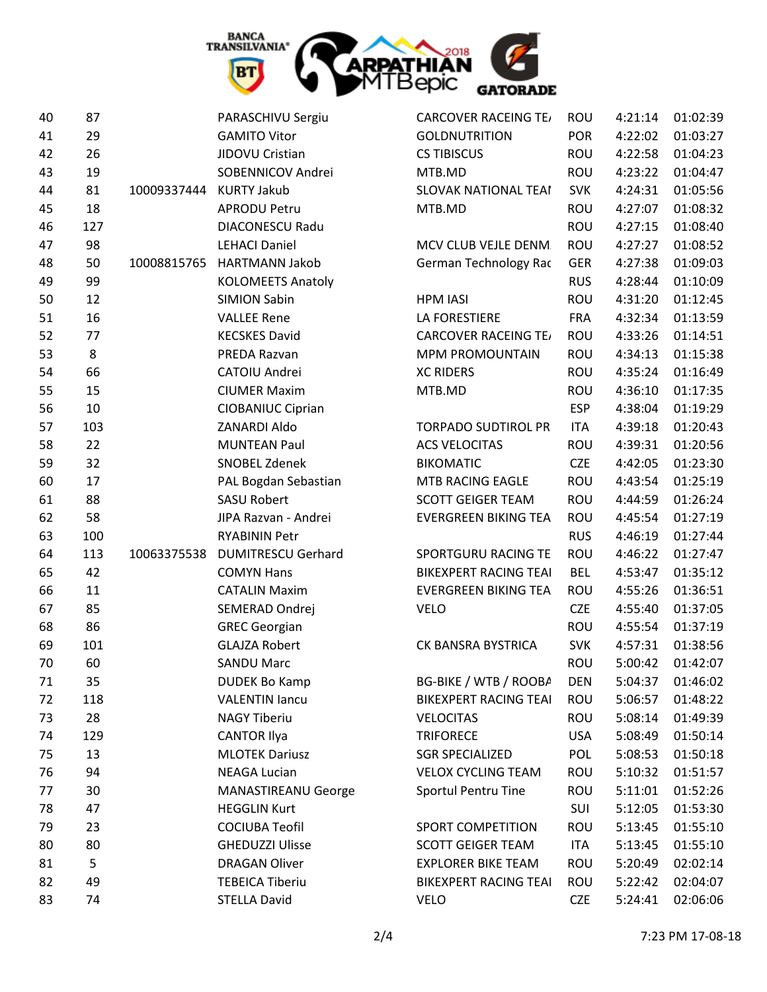

| 40 | 87  |             | PARASCHIVU Sergiu          | <b>CARCOVER RACEING TE/</b>  | <b>ROU</b> | 4:21:14 | 01:02:39 |
|----|-----|-------------|----------------------------|------------------------------|------------|---------|----------|
| 41 | 29  |             | <b>GAMITO Vitor</b>        | <b>GOLDNUTRITION</b>         | <b>POR</b> | 4:22:02 | 01:03:27 |
| 42 | 26  |             | JIDOVU Cristian            | <b>CS TIBISCUS</b>           | ROU        | 4:22:58 | 01:04:23 |
| 43 | 19  |             | SOBENNICOV Andrei          | MTB.MD                       | ROU        | 4:23:22 | 01:04:47 |
| 44 | 81  | 10009337444 | <b>KURTY Jakub</b>         | <b>SLOVAK NATIONAL TEAI</b>  | <b>SVK</b> | 4:24:31 | 01:05:56 |
| 45 | 18  |             | <b>APRODU Petru</b>        | MTB.MD                       | ROU        | 4:27:07 | 01:08:32 |
| 46 | 127 |             | <b>DIACONESCU Radu</b>     |                              | ROU        | 4:27:15 | 01:08:40 |
| 47 | 98  |             | <b>LEHACI Daniel</b>       | MCV CLUB VEJLE DENM.         | ROU        | 4:27:27 | 01:08:52 |
| 48 | 50  | 10008815765 | <b>HARTMANN Jakob</b>      | German Technology Rac        | <b>GER</b> | 4:27:38 | 01:09:03 |
| 49 | 99  |             | <b>KOLOMEETS Anatoly</b>   |                              | <b>RUS</b> | 4:28:44 | 01:10:09 |
| 50 | 12  |             | <b>SIMION Sabin</b>        | <b>HPM IASI</b>              | ROU        | 4:31:20 | 01:12:45 |
| 51 | 16  |             | <b>VALLEE Rene</b>         | <b>LA FORESTIERE</b>         | <b>FRA</b> | 4:32:34 | 01:13:59 |
| 52 | 77  |             | <b>KECSKES David</b>       | <b>CARCOVER RACEING TE/</b>  | <b>ROU</b> | 4:33:26 | 01:14:51 |
| 53 | 8   |             | PREDA Razvan               | <b>MPM PROMOUNTAIN</b>       | ROU        | 4:34:13 | 01:15:38 |
| 54 | 66  |             | CATOIU Andrei              | <b>XC RIDERS</b>             | ROU        | 4:35:24 | 01:16:49 |
| 55 | 15  |             | <b>CIUMER Maxim</b>        | MTB.MD                       | ROU        | 4:36:10 | 01:17:35 |
| 56 | 10  |             | CIOBANIUC Ciprian          |                              | <b>ESP</b> | 4:38:04 | 01:19:29 |
| 57 | 103 |             | ZANARDI Aldo               | <b>TORPADO SUDTIROL PR</b>   | <b>ITA</b> | 4:39:18 | 01:20:43 |
| 58 | 22  |             | <b>MUNTEAN Paul</b>        | <b>ACS VELOCITAS</b>         | ROU        | 4:39:31 | 01:20:56 |
| 59 | 32  |             | SNOBEL Zdenek              | <b>BIKOMATIC</b>             | <b>CZE</b> | 4:42:05 | 01:23:30 |
| 60 | 17  |             | PAL Bogdan Sebastian       | MTB RACING EAGLE             | ROU        | 4:43:54 | 01:25:19 |
| 61 | 88  |             | <b>SASU Robert</b>         | <b>SCOTT GEIGER TEAM</b>     | ROU        | 4:44:59 | 01:26:24 |
| 62 | 58  |             | JIPA Razvan - Andrei       | <b>EVERGREEN BIKING TEA</b>  | ROU        | 4:45:54 | 01:27:19 |
| 63 | 100 |             | <b>RYABININ Petr</b>       |                              | <b>RUS</b> | 4:46:19 | 01:27:44 |
| 64 | 113 | 10063375538 | <b>DUMITRESCU Gerhard</b>  | SPORTGURU RACING TE          | ROU        | 4:46:22 | 01:27:47 |
| 65 | 42  |             | <b>COMYN Hans</b>          | <b>BIKEXPERT RACING TEAI</b> | <b>BEL</b> | 4:53:47 | 01:35:12 |
| 66 | 11  |             | <b>CATALIN Maxim</b>       | <b>EVERGREEN BIKING TEA</b>  | ROU        | 4:55:26 | 01:36:51 |
| 67 | 85  |             | SEMERAD Ondrej             | <b>VELO</b>                  | <b>CZE</b> | 4:55:40 | 01:37:05 |
| 68 | 86  |             | <b>GREC Georgian</b>       |                              | ROU        | 4:55:54 | 01:37:19 |
| 69 | 101 |             | <b>GLAJZA Robert</b>       | CK BANSRA BYSTRICA           | <b>SVK</b> | 4:57:31 | 01:38:56 |
| 70 | 60  |             | <b>SANDU Marc</b>          |                              | ROU        | 5:00:42 | 01:42:07 |
| 71 | 35  |             | <b>DUDEK Bo Kamp</b>       | BG-BIKE / WTB / ROOBA        | <b>DEN</b> | 5:04:37 | 01:46:02 |
| 72 | 118 |             | <b>VALENTIN lancu</b>      | <b>BIKEXPERT RACING TEAI</b> | ROU        | 5:06:57 | 01:48:22 |
| 73 | 28  |             | <b>NAGY Tiberiu</b>        | <b>VELOCITAS</b>             | ROU        | 5:08:14 | 01:49:39 |
| 74 | 129 |             | <b>CANTOR Ilya</b>         | <b>TRIFORECE</b>             | <b>USA</b> | 5:08:49 | 01:50:14 |
| 75 | 13  |             | <b>MLOTEK Dariusz</b>      | <b>SGR SPECIALIZED</b>       | POL        | 5:08:53 | 01:50:18 |
| 76 | 94  |             | <b>NEAGA Lucian</b>        | <b>VELOX CYCLING TEAM</b>    | ROU        | 5:10:32 | 01:51:57 |
| 77 | 30  |             | <b>MANASTIREANU George</b> | Sportul Pentru Tine          | ROU        | 5:11:01 | 01:52:26 |
| 78 | 47  |             | <b>HEGGLIN Kurt</b>        |                              | SUI        | 5:12:05 | 01:53:30 |
| 79 | 23  |             | <b>COCIUBA Teofil</b>      | SPORT COMPETITION            | ROU        | 5:13:45 | 01:55:10 |
| 80 | 80  |             | <b>GHEDUZZI Ulisse</b>     | <b>SCOTT GEIGER TEAM</b>     | ITA        | 5:13:45 | 01:55:10 |
| 81 | 5   |             | <b>DRAGAN Oliver</b>       | <b>EXPLORER BIKE TEAM</b>    | ROU        | 5:20:49 | 02:02:14 |
| 82 | 49  |             | <b>TEBEICA Tiberiu</b>     | <b>BIKEXPERT RACING TEAI</b> | ROU        | 5:22:42 | 02:04:07 |
| 83 | 74  |             | <b>STELLA David</b>        | <b>VELO</b>                  | <b>CZE</b> | 5:24:41 | 02:06:06 |
|    |     |             |                            |                              |            |         |          |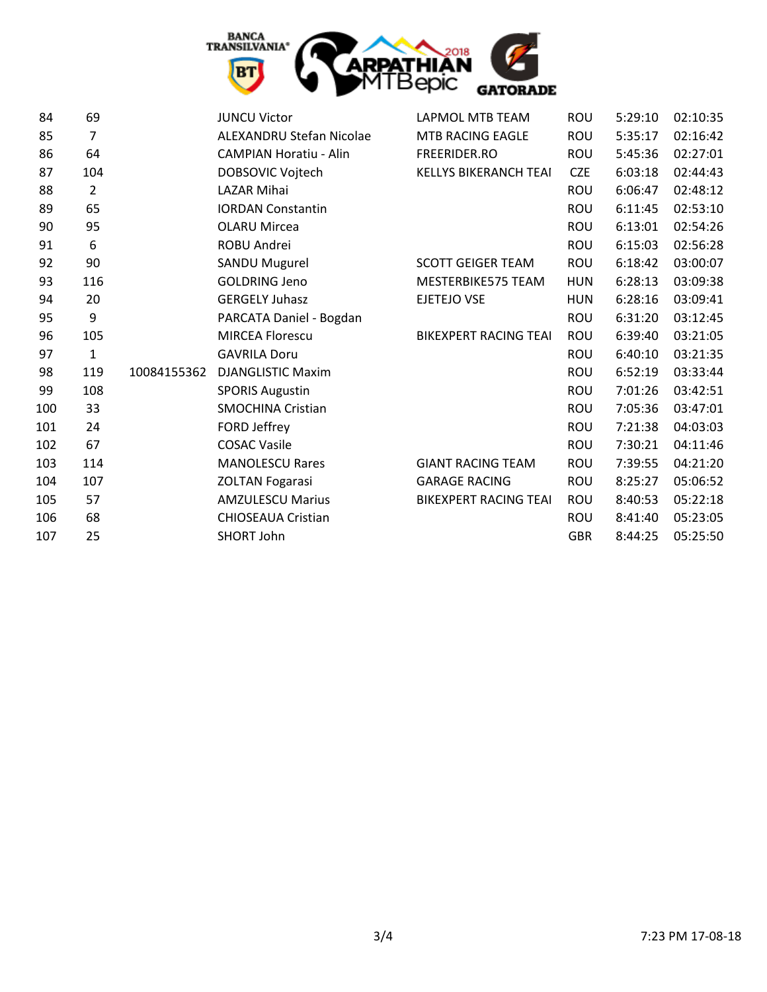

| 84  | 69             |             | <b>JUNCU Victor</b>             | LAPMOL MTB TEAM              | <b>ROU</b> | 5:29:10 | 02:10:35 |
|-----|----------------|-------------|---------------------------------|------------------------------|------------|---------|----------|
| 85  | 7              |             | <b>ALEXANDRU Stefan Nicolae</b> | <b>MTB RACING EAGLE</b>      | ROU        | 5:35:17 | 02:16:42 |
| 86  | 64             |             | <b>CAMPIAN Horatiu - Alin</b>   | FREERIDER.RO                 | ROU        | 5:45:36 | 02:27:01 |
| 87  | 104            |             | DOBSOVIC Vojtech                | KELLYS BIKERANCH TEAI        | <b>CZE</b> | 6:03:18 | 02:44:43 |
| 88  | $\overline{2}$ |             | <b>LAZAR Mihai</b>              |                              | <b>ROU</b> | 6:06:47 | 02:48:12 |
| 89  | 65             |             | <b>IORDAN Constantin</b>        |                              | <b>ROU</b> | 6:11:45 | 02:53:10 |
| 90  | 95             |             | <b>OLARU Mircea</b>             |                              | ROU        | 6:13:01 | 02:54:26 |
| 91  | 6              |             | ROBU Andrei                     |                              | <b>ROU</b> | 6:15:03 | 02:56:28 |
| 92  | 90             |             | SANDU Mugurel                   | <b>SCOTT GEIGER TEAM</b>     | ROU        | 6:18:42 | 03:00:07 |
| 93  | 116            |             | <b>GOLDRING Jeno</b>            | MESTERBIKE575 TEAM           | <b>HUN</b> | 6:28:13 | 03:09:38 |
| 94  | 20             |             | <b>GERGELY Juhasz</b>           | <b>EJETEJO VSE</b>           | <b>HUN</b> | 6:28:16 | 03:09:41 |
| 95  | 9              |             | PARCATA Daniel - Bogdan         |                              | <b>ROU</b> | 6:31:20 | 03:12:45 |
| 96  | 105            |             | <b>MIRCEA Florescu</b>          | <b>BIKEXPERT RACING TEAI</b> | <b>ROU</b> | 6:39:40 | 03:21:05 |
| 97  | $\mathbf{1}$   |             | <b>GAVRILA Doru</b>             |                              | <b>ROU</b> | 6:40:10 | 03:21:35 |
| 98  | 119            | 10084155362 | <b>DJANGLISTIC Maxim</b>        |                              | ROU        | 6:52:19 | 03:33:44 |
| 99  | 108            |             | <b>SPORIS Augustin</b>          |                              | <b>ROU</b> | 7:01:26 | 03:42:51 |
| 100 | 33             |             | <b>SMOCHINA Cristian</b>        |                              | <b>ROU</b> | 7:05:36 | 03:47:01 |
| 101 | 24             |             | FORD Jeffrey                    |                              | <b>ROU</b> | 7:21:38 | 04:03:03 |
| 102 | 67             |             | <b>COSAC Vasile</b>             |                              | <b>ROU</b> | 7:30:21 | 04:11:46 |
| 103 | 114            |             | <b>MANOLESCU Rares</b>          | <b>GIANT RACING TEAM</b>     | ROU        | 7:39:55 | 04:21:20 |
| 104 | 107            |             | <b>ZOLTAN Fogarasi</b>          | <b>GARAGE RACING</b>         | ROU        | 8:25:27 | 05:06:52 |
| 105 | 57             |             | <b>AMZULESCU Marius</b>         | <b>BIKEXPERT RACING TEAI</b> | <b>ROU</b> | 8:40:53 | 05:22:18 |
| 106 | 68             |             | <b>CHIOSEAUA Cristian</b>       |                              | ROU        | 8:41:40 | 05:23:05 |
| 107 | 25             |             | SHORT John                      |                              | <b>GBR</b> | 8:44:25 | 05:25:50 |